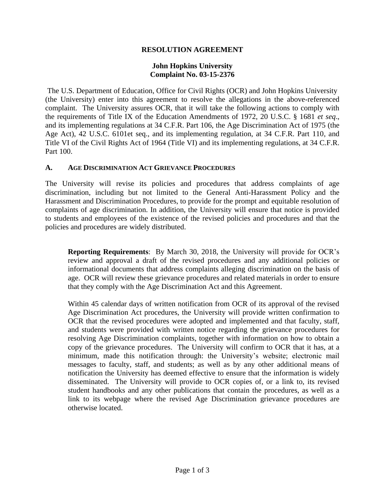## **RESOLUTION AGREEMENT**

## **John Hopkins University Complaint No. 03-15-2376**

The U.S. Department of Education, Office for Civil Rights (OCR) and John Hopkins University (the University) enter into this agreement to resolve the allegations in the above-referenced complaint. The University assures OCR, that it will take the following actions to comply with the requirements of Title IX of the Education Amendments of 1972, 20 U.S.C. § 1681 *et seq*., and its implementing regulations at 34 C.F.R. Part 106, the Age Discrimination Act of 1975 (the Age Act), 42 U.S.C. 6101et seq., and its implementing regulation, at 34 C.F.R. Part 110, and Title VI of the Civil Rights Act of 1964 (Title VI) and its implementing regulations, at 34 C.F.R. Part 100.

#### **A. AGE DISCRIMINATION ACT GRIEVANCE PROCEDURES**

The University will revise its policies and procedures that address complaints of age discrimination, including but not limited to the General Anti-Harassment Policy and the Harassment and Discrimination Procedures, to provide for the prompt and equitable resolution of complaints of age discrimination. In addition, the University will ensure that notice is provided to students and employees of the existence of the revised policies and procedures and that the policies and procedures are widely distributed.

**Reporting Requirements**: By March 30, 2018, the University will provide for OCR's review and approval a draft of the revised procedures and any additional policies or informational documents that address complaints alleging discrimination on the basis of age. OCR will review these grievance procedures and related materials in order to ensure that they comply with the Age Discrimination Act and this Agreement.

Within 45 calendar days of written notification from OCR of its approval of the revised Age Discrimination Act procedures, the University will provide written confirmation to OCR that the revised procedures were adopted and implemented and that faculty, staff, and students were provided with written notice regarding the grievance procedures for resolving Age Discrimination complaints, together with information on how to obtain a copy of the grievance procedures. The University will confirm to OCR that it has, at a minimum, made this notification through: the University's website; electronic mail messages to faculty, staff, and students; as well as by any other additional means of notification the University has deemed effective to ensure that the information is widely disseminated. The University will provide to OCR copies of, or a link to, its revised student handbooks and any other publications that contain the procedures, as well as a link to its webpage where the revised Age Discrimination grievance procedures are otherwise located.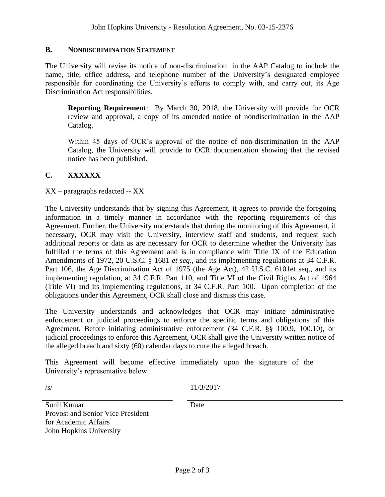### **B. NONDISCRIMINATION STATEMENT**

The University will revise its notice of non-discrimination in the AAP Catalog to include the name, title, office address, and telephone number of the University's designated employee responsible for coordinating the University's efforts to comply with, and carry out, its Age Discrimination Act responsibilities.

**Reporting Requirement**: By March 30, 2018, the University will provide for OCR review and approval, a copy of its amended notice of nondiscrimination in the AAP Catalog.

Within 45 days of OCR's approval of the notice of non-discrimination in the AAP Catalog, the University will provide to OCR documentation showing that the revised notice has been published.

# **C. XXXXXX**

XX – paragraphs redacted -- XX

The University understands that by signing this Agreement, it agrees to provide the foregoing information in a timely manner in accordance with the reporting requirements of this Agreement. Further, the University understands that during the monitoring of this Agreement, if necessary, OCR may visit the University, interview staff and students, and request such additional reports or data as are necessary for OCR to determine whether the University has fulfilled the terms of this Agreement and is in compliance with Title IX of the Education Amendments of 1972, 20 U.S.C. § 1681 *et seq*., and its implementing regulations at 34 C.F.R. Part 106, the Age Discrimination Act of 1975 (the Age Act), 42 U.S.C. 6101et seq., and its implementing regulation, at 34 C.F.R. Part 110, and Title VI of the Civil Rights Act of 1964 (Title VI) and its implementing regulations, at 34 C.F.R. Part 100. Upon completion of the obligations under this Agreement, OCR shall close and dismiss this case.

The University understands and acknowledges that OCR may initiate administrative enforcement or judicial proceedings to enforce the specific terms and obligations of this Agreement. Before initiating administrative enforcement (34 C.F.R. §§ 100.9, 100.10), or judicial proceedings to enforce this Agreement, OCR shall give the University written notice of the alleged breach and sixty (60) calendar days to cure the alleged breach.

This Agreement will become effective immediately upon the signature of the University's representative below.

/s/ 11/3/2017

Date

Sunil Kumar Provost and Senior Vice President for Academic Affairs John Hopkins University